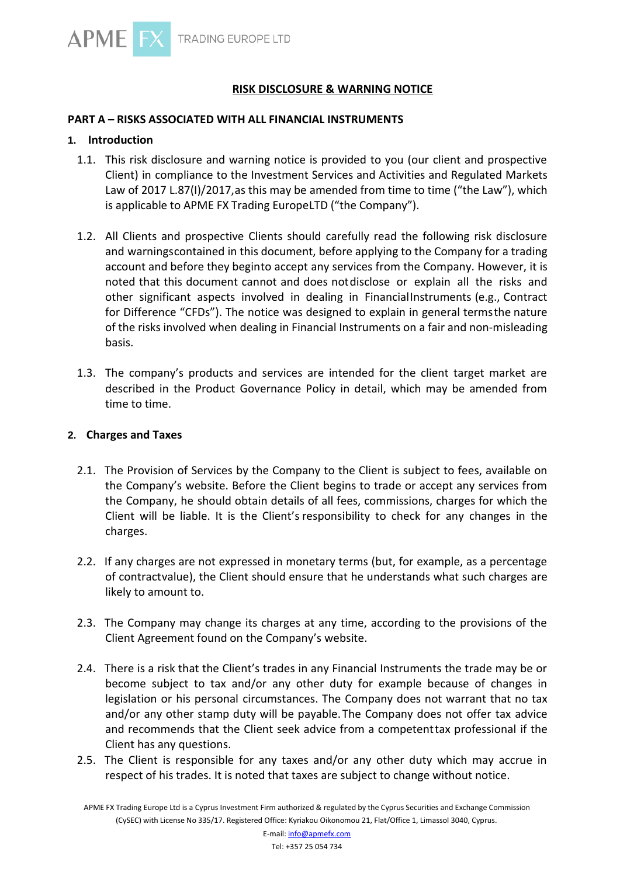# **RISK DISCLOSURE & WARNING NOTICE**

# **PART A – RISKS ASSOCIATED WITH ALL FINANCIAL INSTRUMENTS**

#### **1. Introduction**

- 1.1. This risk disclosure and warning notice is provided to you (our client and prospective Client) in compliance to the Investment Services and Activities and Regulated Markets Law of 2017 L.87(I)/2017,as this may be amended from time to time ("the Law"), which is applicable to APME FX Trading EuropeLTD ("the Company").
- 1.2. All Clients and prospective Clients should carefully read the following risk disclosure and warningscontained in this document, before applying to the Company for a trading account and before they beginto accept any services from the Company. However, it is noted that this document cannot and does notdisclose or explain all the risks and other significant aspects involved in dealing in FinancialInstruments (e.g., Contract for Difference "CFDs"). The notice was designed to explain in general termsthe nature of the risks involved when dealing in Financial Instruments on a fair and non-misleading basis.
- 1.3. The company's products and services are intended for the client target market are described in the Product Governance Policy in detail, which may be amended from time to time.

#### **2. Charges and Taxes**

- 2.1. The Provision of Services by the Company to the Client is subject to fees, available on the Company's website. Before the Client begins to trade or accept any services from the Company, he should obtain details of all fees, commissions, charges for which the Client will be liable. It is the Client's responsibility to check for any changes in the charges.
- 2.2. If any charges are not expressed in monetary terms (but, for example, as a percentage of contractvalue), the Client should ensure that he understands what such charges are likely to amount to.
- 2.3. The Company may change its charges at any time, according to the provisions of the Client Agreement found on the Company's website.
- 2.4. There is a risk that the Client's trades in any Financial Instruments the trade may be or become subject to tax and/or any other duty for example because of changes in legislation or his personal circumstances. The Company does not warrant that no tax and/or any other stamp duty will be payable.The Company does not offer tax advice and recommends that the Client seek advice from a competenttax professional if the Client has any questions.
- 2.5. The Client is responsible for any taxes and/or any other duty which may accrue in respect of his trades. It is noted that taxes are subject to change without notice.

APME FX Trading Europe Ltd is a Cyprus Investment Firm authorized & regulated by the Cyprus Securities and Exchange Commission (CySEC) with License No 335/17. Registered Office: Kyriakou Oikonomou 21, Flat/Office 1, Limassol 3040, Cyprus.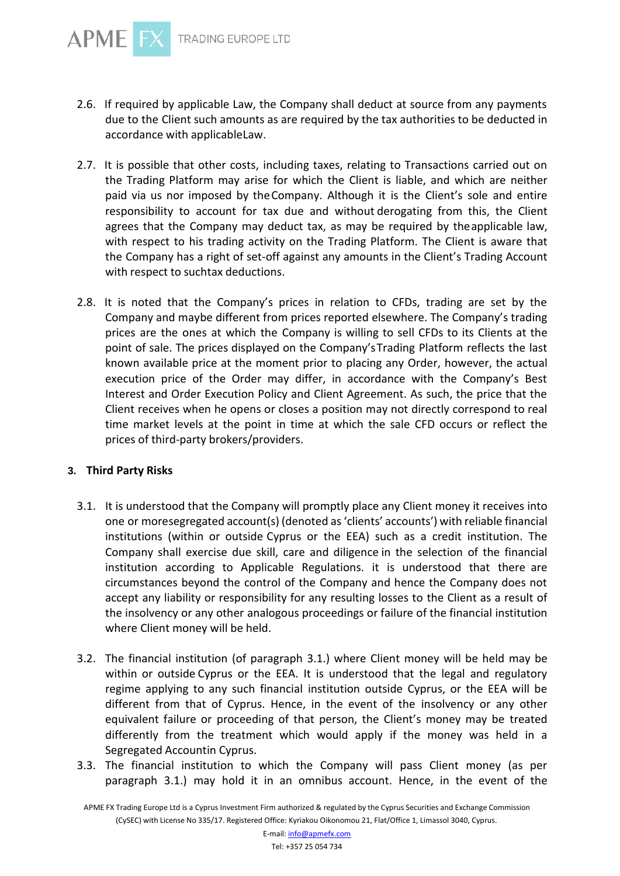

- 2.6. If required by applicable Law, the Company shall deduct at source from any payments due to the Client such amounts as are required by the tax authorities to be deducted in accordance with applicableLaw.
- 2.7. It is possible that other costs, including taxes, relating to Transactions carried out on the Trading Platform may arise for which the Client is liable, and which are neither paid via us nor imposed by theCompany. Although it is the Client's sole and entire responsibility to account for tax due and without derogating from this, the Client agrees that the Company may deduct tax, as may be required by theapplicable law, with respect to his trading activity on the Trading Platform. The Client is aware that the Company has a right of set-off against any amounts in the Client's Trading Account with respect to suchtax deductions.
- 2.8. It is noted that the Company's prices in relation to CFDs, trading are set by the Company and maybe different from prices reported elsewhere. The Company's trading prices are the ones at which the Company is willing to sell CFDs to its Clients at the point of sale. The prices displayed on the Company'sTrading Platform reflects the last known available price at the moment prior to placing any Order, however, the actual execution price of the Order may differ, in accordance with the Company's Best Interest and Order Execution Policy and Client Agreement. As such, the price that the Client receives when he opens or closes a position may not directly correspond to real time market levels at the point in time at which the sale CFD occurs or reflect the prices of third-party brokers/providers.

# **3. Third Party Risks**

- 3.1. It is understood that the Company will promptly place any Client money it receives into one or moresegregated account(s) (denoted as'clients' accounts') with reliable financial institutions (within or outside Cyprus or the EEA) such as a credit institution. The Company shall exercise due skill, care and diligence in the selection of the financial institution according to Applicable Regulations. it is understood that there are circumstances beyond the control of the Company and hence the Company does not accept any liability or responsibility for any resulting losses to the Client as a result of the insolvency or any other analogous proceedings or failure of the financial institution where Client money will be held.
- 3.2. The financial institution (of paragraph 3.1.) where Client money will be held may be within or outside Cyprus or the EEA. It is understood that the legal and regulatory regime applying to any such financial institution outside Cyprus, or the EEA will be different from that of Cyprus. Hence, in the event of the insolvency or any other equivalent failure or proceeding of that person, the Client's money may be treated differently from the treatment which would apply if the money was held in a Segregated Accountin Cyprus.
- 3.3. The financial institution to which the Company will pass Client money (as per paragraph 3.1.) may hold it in an omnibus account. Hence, in the event of the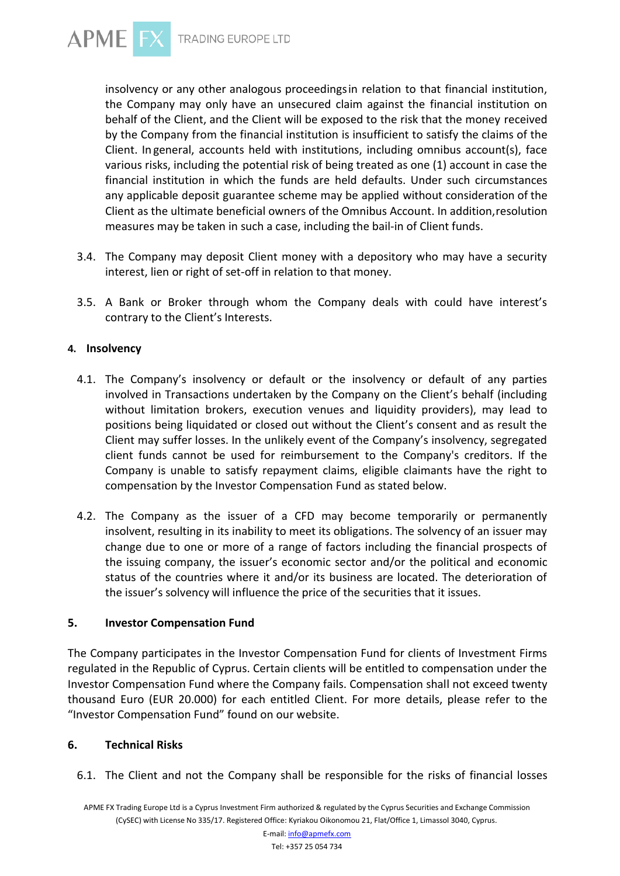

insolvency or any other analogous proceedingsin relation to that financial institution, the Company may only have an unsecured claim against the financial institution on behalf of the Client, and the Client will be exposed to the risk that the money received by the Company from the financial institution is insufficient to satisfy the claims of the Client. In general, accounts held with institutions, including omnibus account(s), face various risks, including the potential risk of being treated as one (1) account in case the financial institution in which the funds are held defaults. Under such circumstances any applicable deposit guarantee scheme may be applied without consideration of the Client as the ultimate beneficial owners of the Omnibus Account. In addition,resolution measures may be taken in such a case, including the bail-in of Client funds.

- 3.4. The Company may deposit Client money with a depository who may have a security interest, lien or right of set-off in relation to that money.
- 3.5. A Bank or Broker through whom the Company deals with could have interest's contrary to the Client's Interests.

# **4. Insolvency**

- 4.1. The Company's insolvency or default or the insolvency or default of any parties involved in Transactions undertaken by the Company on the Client's behalf (including without limitation brokers, execution venues and liquidity providers), may lead to positions being liquidated or closed out without the Client's consent and as result the Client may suffer losses. In the unlikely event of the Company's insolvency, segregated client funds cannot be used for reimbursement to the Company's creditors. If the Company is unable to satisfy repayment claims, eligible claimants have the right to compensation by the Investor Compensation Fund as stated below.
- 4.2. The Company as the issuer of a CFD may become temporarily or permanently insolvent, resulting in its inability to meet its obligations. The solvency of an issuer may change due to one or more of a range of factors including the financial prospects of the issuing company, the issuer's economic sector and/or the political and economic status of the countries where it and/or its business are located. The deterioration of the issuer's solvency will influence the price of the securities that it issues.

## **5. Investor Compensation Fund**

The Company participates in the Investor Compensation Fund for clients of Investment Firms regulated in the Republic of Cyprus. Certain clients will be entitled to compensation under the Investor Compensation Fund where the Company fails. Compensation shall not exceed twenty thousand Euro (EUR 20.000) for each entitled Client. For more details, please refer to the "Investor Compensation Fund" found on our website.

## **6. Technical Risks**

6.1. The Client and not the Company shall be responsible for the risks of financial losses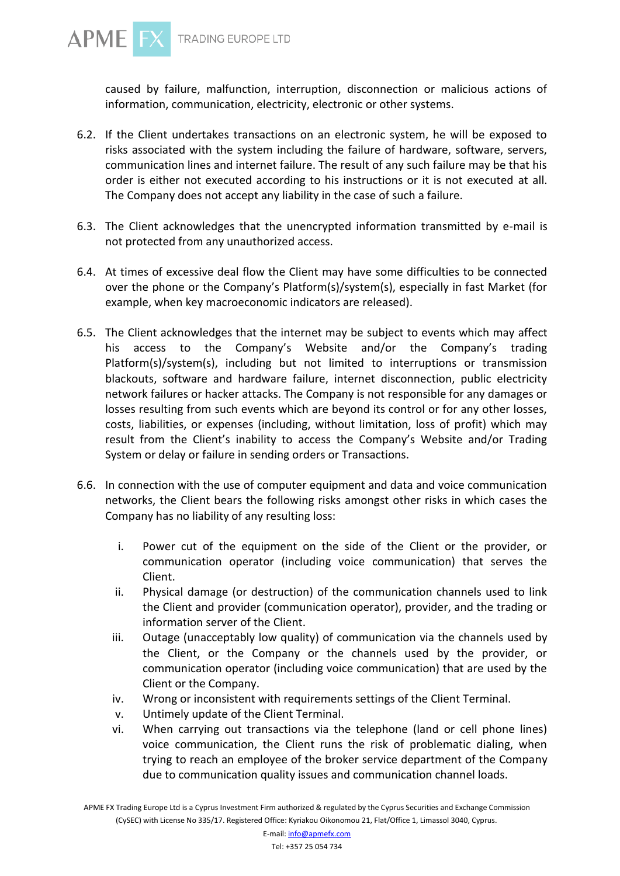

caused by failure, malfunction, interruption, disconnection or malicious actions of information, communication, electricity, electronic or other systems.

- 6.2. If the Client undertakes transactions on an electronic system, he will be exposed to risks associated with the system including the failure of hardware, software, servers, communication lines and internet failure. The result of any such failure may be that his order is either not executed according to his instructions or it is not executed at all. The Company does not accept any liability in the case of such a failure.
- 6.3. The Client acknowledges that the unencrypted information transmitted by e-mail is not protected from any unauthorized access.
- 6.4. At times of excessive deal flow the Client may have some difficulties to be connected over the phone or the Company's Platform(s)/system(s), especially in fast Market (for example, when key macroeconomic indicators are released).
- 6.5. The Client acknowledges that the internet may be subject to events which may affect his access to the Company's Website and/or the Company's trading Platform(s)/system(s), including but not limited to interruptions or transmission blackouts, software and hardware failure, internet disconnection, public electricity network failures or hacker attacks. The Company is not responsible for any damages or losses resulting from such events which are beyond its control or for any other losses, costs, liabilities, or expenses (including, without limitation, loss of profit) which may result from the Client's inability to access the Company's Website and/or Trading System or delay or failure in sending orders or Transactions.
- 6.6. In connection with the use of computer equipment and data and voice communication networks, the Client bears the following risks amongst other risks in which cases the Company has no liability of any resulting loss:
	- i. Power cut of the equipment on the side of the Client or the provider, or communication operator (including voice communication) that serves the Client.
	- ii. Physical damage (or destruction) of the communication channels used to link the Client and provider (communication operator), provider, and the trading or information server of the Client.
	- iii. Outage (unacceptably low quality) of communication via the channels used by the Client, or the Company or the channels used by the provider, or communication operator (including voice communication) that are used by the Client or the Company.
	- iv. Wrong or inconsistent with requirements settings of the Client Terminal.
	- v. Untimely update of the Client Terminal.
	- vi. When carrying out transactions via the telephone (land or cell phone lines) voice communication, the Client runs the risk of problematic dialing, when trying to reach an employee of the broker service department of the Company due to communication quality issues and communication channel loads.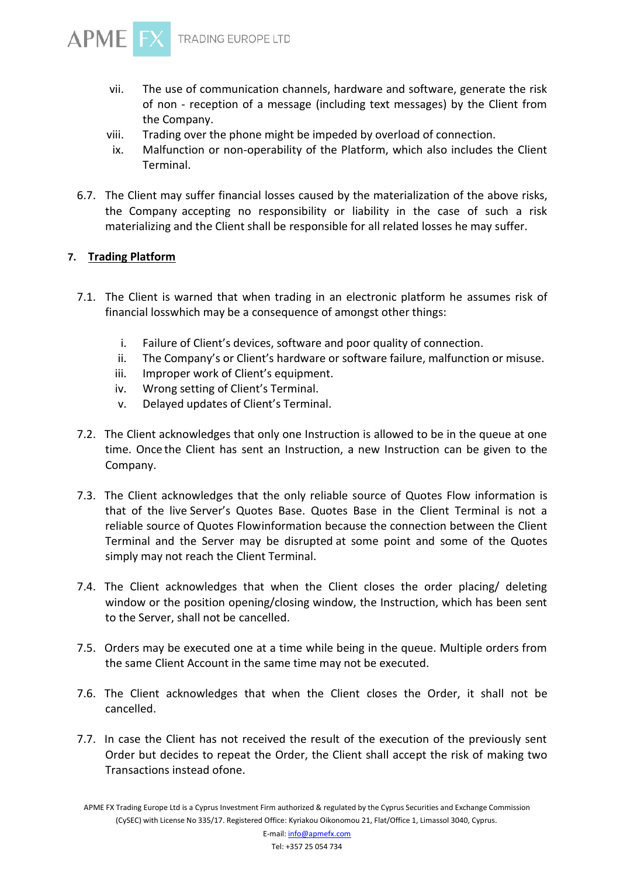- vii. The use of communication channels, hardware and software, generate the risk of non - reception of a message (including text messages) by the Client from the Company.
- viii. Trading over the phone might be impeded by overload of connection.
- ix. Malfunction or non-operability of the Platform, which also includes the Client Terminal.
- 6.7. The Client may suffer financial losses caused by the materialization of the above risks, the Company accepting no responsibility or liability in the case of such a risk materializing and the Client shall be responsible for all related losses he may suffer.

# **7. Trading Platform**

- 7.1. The Client is warned that when trading in an electronic platform he assumes risk of financial losswhich may be a consequence of amongst other things:
	- i. Failure of Client's devices, software and poor quality of connection.
	- ii. The Company's or Client's hardware or software failure, malfunction or misuse.
	- iii. Improper work of Client's equipment.
	- iv. Wrong setting of Client's Terminal.
	- v. Delayed updates of Client's Terminal.
- 7.2. The Client acknowledges that only one Instruction is allowed to be in the queue at one time. Once the Client has sent an Instruction, a new Instruction can be given to the Company.
- 7.3. The Client acknowledges that the only reliable source of Quotes Flow information is that of the live Server's Quotes Base. Quotes Base in the Client Terminal is not a reliable source of Quotes Flowinformation because the connection between the Client Terminal and the Server may be disrupted at some point and some of the Quotes simply may not reach the Client Terminal.
- 7.4. The Client acknowledges that when the Client closes the order placing/ deleting window or the position opening/closing window, the Instruction, which has been sent to the Server, shall not be cancelled.
- 7.5. Orders may be executed one at a time while being in the queue. Multiple orders from the same Client Account in the same time may not be executed.
- 7.6. The Client acknowledges that when the Client closes the Order, it shall not be cancelled.
- 7.7. In case the Client has not received the result of the execution of the previously sent Order but decides to repeat the Order, the Client shall accept the risk of making two Transactions instead ofone.

APME FX Trading Europe Ltd is a Cyprus Investment Firm authorized & regulated by the Cyprus Securities and Exchange Commission (CySEC) with License No 335/17. Registered Office: Kyriakou Oikonomou 21, Flat/Office 1, Limassol 3040, Cyprus.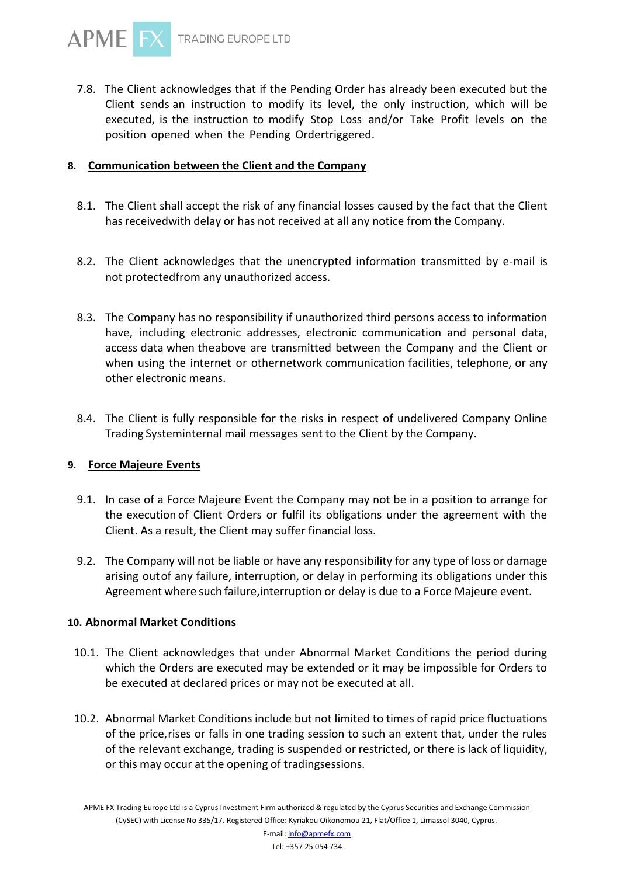

7.8. The Client acknowledges that if the Pending Order has already been executed but the Client sends an instruction to modify its level, the only instruction, which will be executed, is the instruction to modify Stop Loss and/or Take Profit levels on the position opened when the Pending Ordertriggered.

## **8. Communication between the Client and the Company**

- 8.1. The Client shall accept the risk of any financial losses caused by the fact that the Client has receivedwith delay or has not received at all any notice from the Company.
- 8.2. The Client acknowledges that the unencrypted information transmitted by e-mail is not protectedfrom any unauthorized access.
- 8.3. The Company has no responsibility if unauthorized third persons access to information have, including electronic addresses, electronic communication and personal data, access data when theabove are transmitted between the Company and the Client or when using the internet or othernetwork communication facilities, telephone, or any other electronic means.
- 8.4. The Client is fully responsible for the risks in respect of undelivered Company Online Trading Systeminternal mail messages sent to the Client by the Company.

## **9. Force Majeure Events**

- 9.1. In case of a Force Majeure Event the Company may not be in a position to arrange for the execution of Client Orders or fulfil its obligations under the agreement with the Client. As a result, the Client may suffer financial loss.
- 9.2. The Company will not be liable or have any responsibility for any type of loss or damage arising outof any failure, interruption, or delay in performing its obligations under this Agreement where such failure,interruption or delay is due to a Force Majeure event.

#### **10. Abnormal Market Conditions**

- 10.1. The Client acknowledges that under Abnormal Market Conditions the period during which the Orders are executed may be extended or it may be impossible for Orders to be executed at declared prices or may not be executed at all.
- 10.2. Abnormal Market Conditions include but not limited to times of rapid price fluctuations of the price,rises or falls in one trading session to such an extent that, under the rules of the relevant exchange, trading is suspended or restricted, or there is lack of liquidity, or this may occur at the opening of tradingsessions.

APME FX Trading Europe Ltd is a Cyprus Investment Firm authorized & regulated by the Cyprus Securities and Exchange Commission (CySEC) with License No 335/17. Registered Office: Kyriakou Oikonomou 21, Flat/Office 1, Limassol 3040, Cyprus.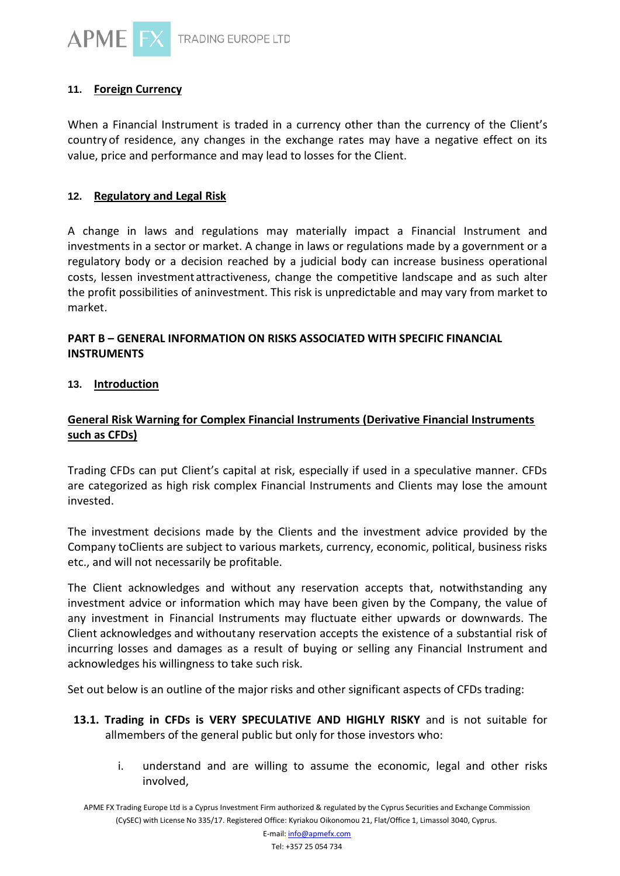

# **11. Foreign Currency**

When a Financial Instrument is traded in a currency other than the currency of the Client's country of residence, any changes in the exchange rates may have a negative effect on its value, price and performance and may lead to losses for the Client.

## **12. Regulatory and Legal Risk**

A change in laws and regulations may materially impact a Financial Instrument and investments in a sector or market. A change in laws or regulations made by a government or a regulatory body or a decision reached by a judicial body can increase business operational costs, lessen investment attractiveness, change the competitive landscape and as such alter the profit possibilities of aninvestment. This risk is unpredictable and may vary from market to market.

# **PART B – GENERAL INFORMATION ON RISKS ASSOCIATED WITH SPECIFIC FINANCIAL INSTRUMENTS**

## **13. Introduction**

# **General Risk Warning for Complex Financial Instruments (Derivative Financial Instruments such as CFDs)**

Trading CFDs can put Client's capital at risk, especially if used in a speculative manner. CFDs are categorized as high risk complex Financial Instruments and Clients may lose the amount invested.

The investment decisions made by the Clients and the investment advice provided by the Company toClients are subject to various markets, currency, economic, political, business risks etc., and will not necessarily be profitable.

The Client acknowledges and without any reservation accepts that, notwithstanding any investment advice or information which may have been given by the Company, the value of any investment in Financial Instruments may fluctuate either upwards or downwards. The Client acknowledges and withoutany reservation accepts the existence of a substantial risk of incurring losses and damages as a result of buying or selling any Financial Instrument and acknowledges his willingness to take such risk.

Set out below is an outline of the major risks and other significant aspects of CFDs trading:

- **13.1. Trading in CFDs is VERY SPECULATIVE AND HIGHLY RISKY** and is not suitable for allmembers of the general public but only for those investors who:
	- i. understand and are willing to assume the economic, legal and other risks involved,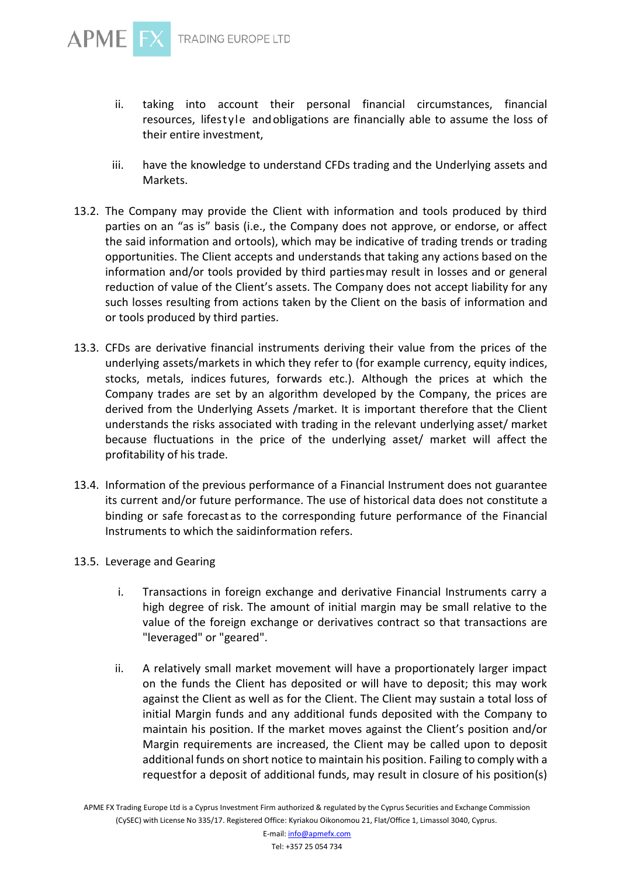

- ii. taking into account their personal financial circumstances, financial resources, lifestyle andobligations are financially able to assume the loss of their entire investment,
- iii. have the knowledge to understand CFDs trading and the Underlying assets and Markets.
- 13.2. The Company may provide the Client with information and tools produced by third parties on an "as is" basis (i.e., the Company does not approve, or endorse, or affect the said information and ortools), which may be indicative of trading trends or trading opportunities. The Client accepts and understands that taking any actions based on the information and/or tools provided by third partiesmay result in losses and or general reduction of value of the Client's assets. The Company does not accept liability for any such losses resulting from actions taken by the Client on the basis of information and or tools produced by third parties.
- 13.3. CFDs are derivative financial instruments deriving their value from the prices of the underlying assets/markets in which they refer to (for example currency, equity indices, stocks, metals, indices futures, forwards etc.). Although the prices at which the Company trades are set by an algorithm developed by the Company, the prices are derived from the Underlying Assets /market. It is important therefore that the Client understands the risks associated with trading in the relevant underlying asset/ market because fluctuations in the price of the underlying asset/ market will affect the profitability of his trade.
- 13.4. Information of the previous performance of a Financial Instrument does not guarantee its current and/or future performance. The use of historical data does not constitute a binding or safe forecast as to the corresponding future performance of the Financial Instruments to which the saidinformation refers.
- 13.5. Leverage and Gearing
	- i. Transactions in foreign exchange and derivative Financial Instruments carry a high degree of risk. The amount of initial margin may be small relative to the value of the foreign exchange or derivatives contract so that transactions are "leveraged" or "geared".
	- ii. A relatively small market movement will have a proportionately larger impact on the funds the Client has deposited or will have to deposit; this may work against the Client as well as for the Client. The Client may sustain a total loss of initial Margin funds and any additional funds deposited with the Company to maintain his position. If the market moves against the Client's position and/or Margin requirements are increased, the Client may be called upon to deposit additional funds on short notice to maintain his position. Failing to comply with a requestfor a deposit of additional funds, may result in closure of his position(s)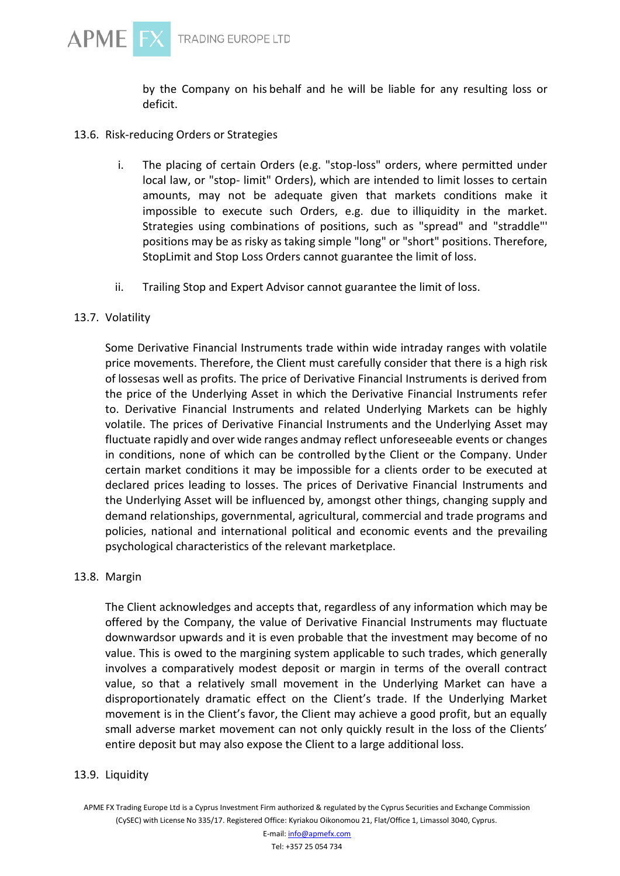

by the Company on his behalf and he will be liable for any resulting loss or deficit.

#### 13.6. Risk-reducing Orders or Strategies

- i. The placing of certain Orders (e.g. "stop-loss" orders, where permitted under local law, or "stop- limit" Orders), which are intended to limit losses to certain amounts, may not be adequate given that markets conditions make it impossible to execute such Orders, e.g. due to illiquidity in the market. Strategies using combinations of positions, such as "spread" and "straddle"' positions may be as risky as taking simple "long" or "short" positions. Therefore, StopLimit and Stop Loss Orders cannot guarantee the limit of loss.
- ii. Trailing Stop and Expert Advisor cannot guarantee the limit of loss.

#### 13.7. Volatility

Some Derivative Financial Instruments trade within wide intraday ranges with volatile price movements. Therefore, the Client must carefully consider that there is a high risk of lossesas well as profits. The price of Derivative Financial Instruments is derived from the price of the Underlying Asset in which the Derivative Financial Instruments refer to. Derivative Financial Instruments and related Underlying Markets can be highly volatile. The prices of Derivative Financial Instruments and the Underlying Asset may fluctuate rapidly and over wide ranges andmay reflect unforeseeable events or changes in conditions, none of which can be controlled by the Client or the Company. Under certain market conditions it may be impossible for a clients order to be executed at declared prices leading to losses. The prices of Derivative Financial Instruments and the Underlying Asset will be influenced by, amongst other things, changing supply and demand relationships, governmental, agricultural, commercial and trade programs and policies, national and international political and economic events and the prevailing psychological characteristics of the relevant marketplace.

#### 13.8. Margin

The Client acknowledges and accepts that, regardless of any information which may be offered by the Company, the value of Derivative Financial Instruments may fluctuate downwardsor upwards and it is even probable that the investment may become of no value. This is owed to the margining system applicable to such trades, which generally involves a comparatively modest deposit or margin in terms of the overall contract value, so that a relatively small movement in the Underlying Market can have a disproportionately dramatic effect on the Client's trade. If the Underlying Market movement is in the Client's favor, the Client may achieve a good profit, but an equally small adverse market movement can not only quickly result in the loss of the Clients' entire deposit but may also expose the Client to a large additional loss.

#### 13.9. Liquidity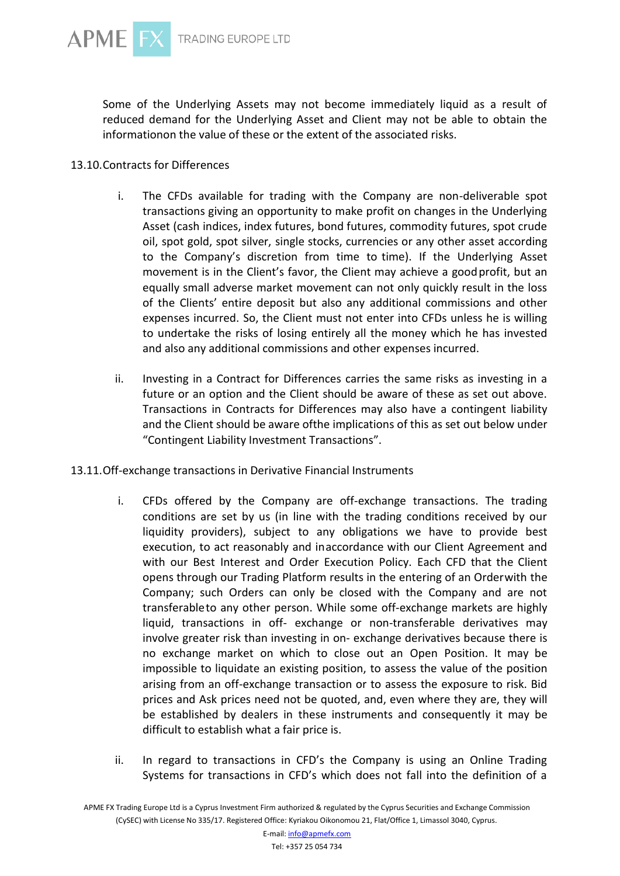Some of the Underlying Assets may not become immediately liquid as a result of reduced demand for the Underlying Asset and Client may not be able to obtain the informationon the value of these or the extent of the associated risks.

# 13.10.Contracts for Differences

- i. The CFDs available for trading with the Company are non-deliverable spot transactions giving an opportunity to make profit on changes in the Underlying Asset (cash indices, index futures, bond futures, commodity futures, spot crude oil, spot gold, spot silver, single stocks, currencies or any other asset according to the Company's discretion from time to time). If the Underlying Asset movement is in the Client's favor, the Client may achieve a goodprofit, but an equally small adverse market movement can not only quickly result in the loss of the Clients' entire deposit but also any additional commissions and other expenses incurred. So, the Client must not enter into CFDs unless he is willing to undertake the risks of losing entirely all the money which he has invested and also any additional commissions and other expenses incurred.
- ii. Investing in a Contract for Differences carries the same risks as investing in a future or an option and the Client should be aware of these as set out above. Transactions in Contracts for Differences may also have a contingent liability and the Client should be aware ofthe implications of this as set out below under "Contingent Liability Investment Transactions".
- 13.11.Off-exchange transactions in Derivative Financial Instruments
	- i. CFDs offered by the Company are off-exchange transactions. The trading conditions are set by us (in line with the trading conditions received by our liquidity providers), subject to any obligations we have to provide best execution, to act reasonably and inaccordance with our Client Agreement and with our Best Interest and Order Execution Policy. Each CFD that the Client opens through our Trading Platform results in the entering of an Orderwith the Company; such Orders can only be closed with the Company and are not transferableto any other person. While some off-exchange markets are highly liquid, transactions in off- exchange or non-transferable derivatives may involve greater risk than investing in on- exchange derivatives because there is no exchange market on which to close out an Open Position. It may be impossible to liquidate an existing position, to assess the value of the position arising from an off-exchange transaction or to assess the exposure to risk. Bid prices and Ask prices need not be quoted, and, even where they are, they will be established by dealers in these instruments and consequently it may be difficult to establish what a fair price is.
	- ii. In regard to transactions in CFD's the Company is using an Online Trading Systems for transactions in CFD's which does not fall into the definition of a

APME FX Trading Europe Ltd is a Cyprus Investment Firm authorized & regulated by the Cyprus Securities and Exchange Commission (CySEC) with License No 335/17. Registered Office: Kyriakou Oikonomou 21, Flat/Office 1, Limassol 3040, Cyprus.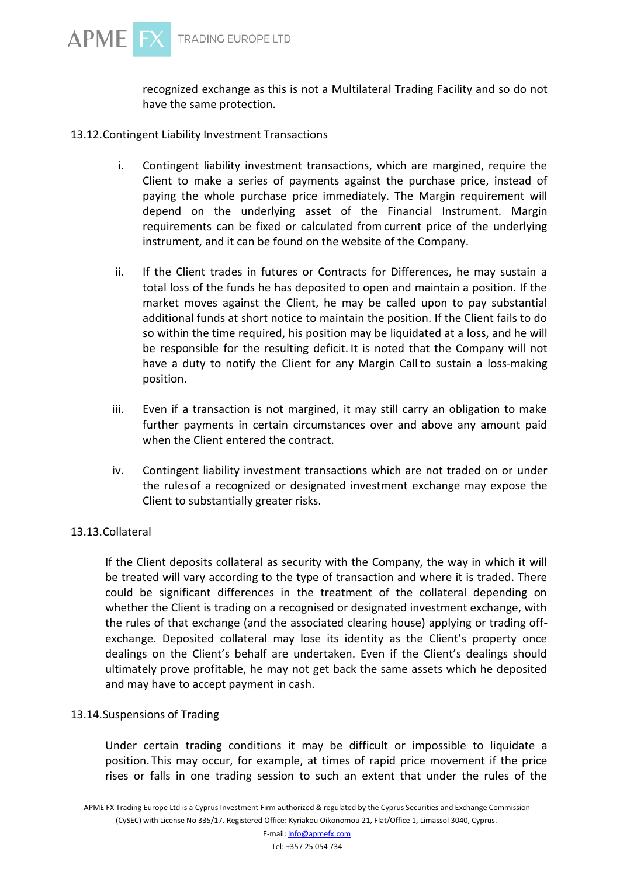recognized exchange as this is not a Multilateral Trading Facility and so do not have the same protection.

- 13.12.Contingent Liability Investment Transactions
	- i. Contingent liability investment transactions, which are margined, require the Client to make a series of payments against the purchase price, instead of paying the whole purchase price immediately. The Margin requirement will depend on the underlying asset of the Financial Instrument. Margin requirements can be fixed or calculated from current price of the underlying instrument, and it can be found on the website of the Company.
	- ii. If the Client trades in futures or Contracts for Differences, he may sustain a total loss of the funds he has deposited to open and maintain a position. If the market moves against the Client, he may be called upon to pay substantial additional funds at short notice to maintain the position. If the Client fails to do so within the time required, his position may be liquidated at a loss, and he will be responsible for the resulting deficit. It is noted that the Company will not have a duty to notify the Client for any Margin Call to sustain a loss-making position.
	- iii. Even if a transaction is not margined, it may still carry an obligation to make further payments in certain circumstances over and above any amount paid when the Client entered the contract.
	- iv. Contingent liability investment transactions which are not traded on or under the rulesof a recognized or designated investment exchange may expose the Client to substantially greater risks.

# 13.13.Collateral

If the Client deposits collateral as security with the Company, the way in which it will be treated will vary according to the type of transaction and where it is traded. There could be significant differences in the treatment of the collateral depending on whether the Client is trading on a recognised or designated investment exchange, with the rules of that exchange (and the associated clearing house) applying or trading offexchange. Deposited collateral may lose its identity as the Client's property once dealings on the Client's behalf are undertaken. Even if the Client's dealings should ultimately prove profitable, he may not get back the same assets which he deposited and may have to accept payment in cash.

# 13.14.Suspensions of Trading

Under certain trading conditions it may be difficult or impossible to liquidate a position. This may occur, for example, at times of rapid price movement if the price rises or falls in one trading session to such an extent that under the rules of the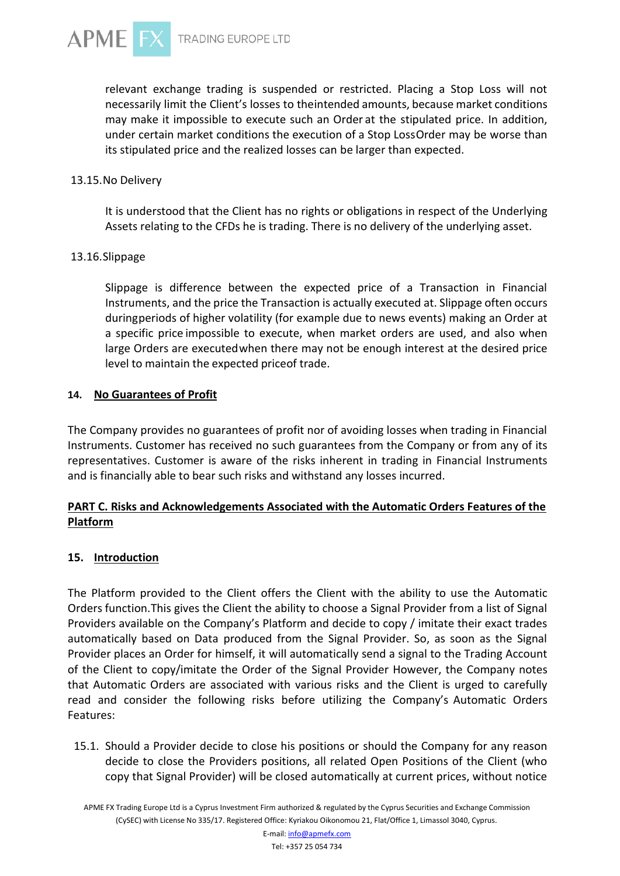

TRADING EUROPE LTD

relevant exchange trading is suspended or restricted. Placing a Stop Loss will not necessarily limit the Client's losses to theintended amounts, because market conditions may make it impossible to execute such an Order at the stipulated price. In addition, under certain market conditions the execution of a Stop LossOrder may be worse than its stipulated price and the realized losses can be larger than expected.

#### 13.15.No Delivery

It is understood that the Client has no rights or obligations in respect of the Underlying Assets relating to the CFDs he is trading. There is no delivery of the underlying asset.

#### 13.16.Slippage

Slippage is difference between the expected price of a Transaction in Financial Instruments, and the price the Transaction is actually executed at. Slippage often occurs duringperiods of higher volatility (for example due to news events) making an Order at a specific price impossible to execute, when market orders are used, and also when large Orders are executedwhen there may not be enough interest at the desired price level to maintain the expected priceof trade.

# **14. No Guarantees of Profit**

The Company provides no guarantees of profit nor of avoiding losses when trading in Financial Instruments. Customer has received no such guarantees from the Company or from any of its representatives. Customer is aware of the risks inherent in trading in Financial Instruments and is financially able to bear such risks and withstand any losses incurred.

# **PART C. Risks and Acknowledgements Associated with the Automatic Orders Features of the Platform**

## **15. Introduction**

The Platform provided to the Client offers the Client with the ability to use the Automatic Orders function.This gives the Client the ability to choose a Signal Provider from a list of Signal Providers available on the Company's Platform and decide to copy / imitate their exact trades automatically based on Data produced from the Signal Provider. So, as soon as the Signal Provider places an Order for himself, it will automatically send a signal to the Trading Account of the Client to copy/imitate the Order of the Signal Provider However, the Company notes that Automatic Orders are associated with various risks and the Client is urged to carefully read and consider the following risks before utilizing the Company's Automatic Orders Features:

15.1. Should a Provider decide to close his positions or should the Company for any reason decide to close the Providers positions, all related Open Positions of the Client (who copy that Signal Provider) will be closed automatically at current prices, without notice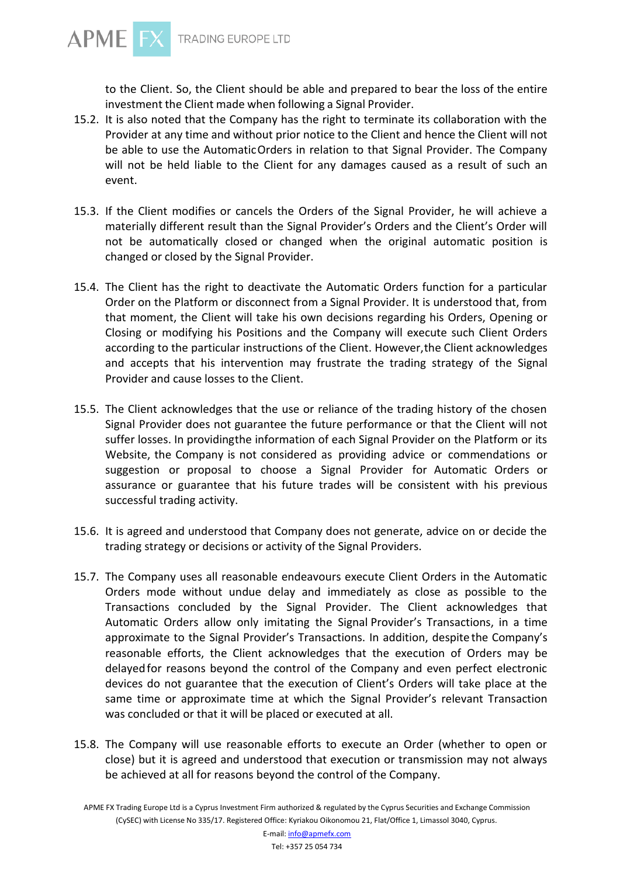

to the Client. So, the Client should be able and prepared to bear the loss of the entire investment the Client made when following a Signal Provider.

- 15.2. It is also noted that the Company has the right to terminate its collaboration with the Provider at any time and without prior notice to the Client and hence the Client will not be able to use the AutomaticOrders in relation to that Signal Provider. The Company will not be held liable to the Client for any damages caused as a result of such an event.
- 15.3. If the Client modifies or cancels the Orders of the Signal Provider, he will achieve a materially different result than the Signal Provider's Orders and the Client's Order will not be automatically closed or changed when the original automatic position is changed or closed by the Signal Provider.
- 15.4. The Client has the right to deactivate the Automatic Orders function for a particular Order on the Platform or disconnect from a Signal Provider. It is understood that, from that moment, the Client will take his own decisions regarding his Orders, Opening or Closing or modifying his Positions and the Company will execute such Client Orders according to the particular instructions of the Client. However,the Client acknowledges and accepts that his intervention may frustrate the trading strategy of the Signal Provider and cause losses to the Client.
- 15.5. The Client acknowledges that the use or reliance of the trading history of the chosen Signal Provider does not guarantee the future performance or that the Client will not suffer losses. In providingthe information of each Signal Provider on the Platform or its Website, the Company is not considered as providing advice or commendations or suggestion or proposal to choose a Signal Provider for Automatic Orders or assurance or guarantee that his future trades will be consistent with his previous successful trading activity.
- 15.6. It is agreed and understood that Company does not generate, advice on or decide the trading strategy or decisions or activity of the Signal Providers.
- 15.7. The Company uses all reasonable endeavours execute Client Orders in the Automatic Orders mode without undue delay and immediately as close as possible to the Transactions concluded by the Signal Provider. The Client acknowledges that Automatic Orders allow only imitating the Signal Provider's Transactions, in a time approximate to the Signal Provider's Transactions. In addition, despite the Company's reasonable efforts, the Client acknowledges that the execution of Orders may be delayedfor reasons beyond the control of the Company and even perfect electronic devices do not guarantee that the execution of Client's Orders will take place at the same time or approximate time at which the Signal Provider's relevant Transaction was concluded or that it will be placed or executed at all.
- 15.8. The Company will use reasonable efforts to execute an Order (whether to open or close) but it is agreed and understood that execution or transmission may not always be achieved at all for reasons beyond the control of the Company.

APME FX Trading Europe Ltd is a Cyprus Investment Firm authorized & regulated by the Cyprus Securities and Exchange Commission (CySEC) with License No 335/17. Registered Office: Kyriakou Oikonomou 21, Flat/Office 1, Limassol 3040, Cyprus.